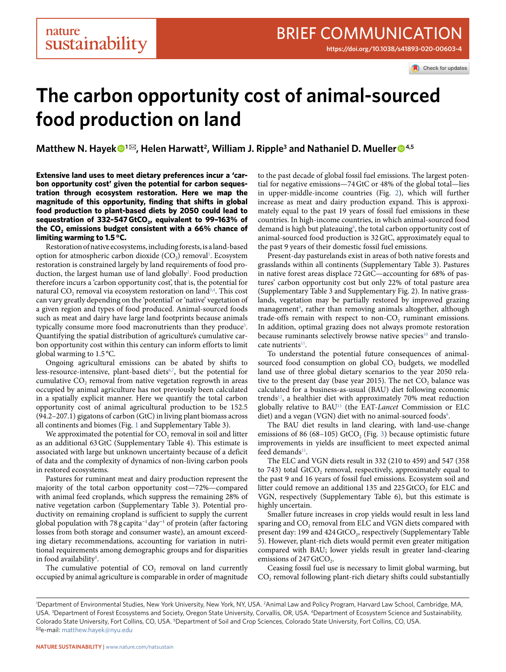Check for updates

# **The carbon opportunity cost of animal-sourced food production on land**

**Matthew N. Hayek**<sup>●1⊠</sup>, Helen Harwatt<sup>2</sup>, William J. Ripple<sup>3</sup> and Nathaniel D. Mueller<sup>●4,5</sup>

**Extensive land uses to meet dietary preferences incur a 'carbon opportunity cost' given the potential for carbon sequestration through ecosystem restoration. Here we map the magnitude of this opportunity, finding that shifts in global food production to plant-based diets by 2050 could lead to**  sequestration of 332-547 GtCO<sub>2</sub>, equivalent to 99-163% of the CO<sub>2</sub> emissions budget consistent with a 66% chance of **limiting warming to 1.5 °C.**

Restoration of native ecosystems, including forests, is a land-based option for atmospheric carbon dioxide (CO<sub>2</sub>) removal<sup>[1](#page-2-0)</sup>. Ecosystem restoration is constrained largely by land requirements of food production, the largest human use of land globally<sup>2</sup>. Food production therefore incurs a 'carbon opportunity cost', that is, the potential for natural CO<sub>2</sub> removal via ecosystem restoration on land<sup>[3,](#page-2-2)[4](#page-2-3)</sup>. This cost can vary greatly depending on the 'potential' or 'native' vegetation of a given region and types of food produced. Animal-sourced foods such as meat and dairy have large land footprints because animals typically consume more food macronutrients than they produce<sup>[5](#page-2-4)</sup>. Quantifying the spatial distribution of agriculture's cumulative carbon opportunity cost within this century can inform efforts to limit global warming to 1.5 °C.

Ongoing agricultural emissions can be abated by shifts to less-resource-intensive, plant-based diets<sup>6[,7](#page-2-6)</sup>, but the potential for cumulative CO<sub>2</sub> removal from native vegetation regrowth in areas occupied by animal agriculture has not previously been calculated in a spatially explicit manner. Here we quantify the total carbon opportunity cost of animal agricultural production to be 152.5 (94.2–207.1) gigatons of carbon (GtC) in living plant biomass across all continents and biomes (Fig. [1](#page-1-0) and Supplementary Table 3).

We approximated the potential for CO<sub>2</sub> removal in soil and litter as an additional 63GtC (Supplementary Table 4). This estimate is associated with large but unknown uncertainty because of a deficit of data and the complexity of dynamics of non-living carbon pools in restored ecosystems.

Pastures for ruminant meat and dairy production represent the majority of the total carbon opportunity cost—72%—compared with animal feed croplands, which suppress the remaining 28% of native vegetation carbon (Supplementary Table 3). Potential productivity on remaining cropland is sufficient to supply the current global population with 78 g capita<sup>-1</sup> day<sup>−1</sup> of protein (after factoring losses from both storage and consumer waste), an amount exceeding dietary recommendations, accounting for variation in nutritional requirements among demographic groups and for disparities in food availability<sup>[8](#page-2-7)</sup>.

The cumulative potential of  $CO<sub>2</sub>$  removal on land currently occupied by animal agriculture is comparable in order of magnitude to the past decade of global fossil fuel emissions. The largest potential for negative emissions—74GtC or 48% of the global total—lies in upper-middle-income countries (Fig. [2\)](#page-1-1), which will further increase as meat and dairy production expand. This is approximately equal to the past 19 years of fossil fuel emissions in these countries. In high-income countries, in which animal-sourced food demand is high but plateauing<sup>8</sup>, the total carbon opportunity cost of animal-sourced food production is 32GtC, approximately equal to the past 9 years of their domestic fossil fuel emissions.

Present-day pasturelands exist in areas of both native forests and grasslands within all continents (Supplementary Table 3). Pastures in native forest areas displace 72GtC—accounting for 68% of pastures' carbon opportunity cost but only 22% of total pasture area (Supplementary Table 3 and Supplementary Fig. 2). In native grasslands, vegetation may be partially restored by improved grazing management<sup>[9](#page-2-8)</sup>, rather than removing animals altogether, although trade-offs remain with respect to non-CO<sub>2</sub> ruminant emissions. In addition, optimal grazing does not always promote restoration because ruminants selectively browse native species<sup>10</sup> and translocate nutrients<sup>11</sup>.

To understand the potential future consequences of animalsourced food consumption on global CO<sub>2</sub> budgets, we modelled land use of three global dietary scenarios to the year 2050 relative to the present day (base year 2015). The net CO<sub>2</sub> balance was calculated for a business-as-usual (BAU) diet following economic trends<sup>12</sup>, a healthier diet with approximately 70% meat reduction globally relative to BA[U13](#page-2-12) (the EAT-*Lancet* Commission or ELC diet) and a vegan (VGN) diet with no animal-sourced foods<sup>8</sup>.

The BAU diet results in land clearing, with land-use-change emissions of 86 (68–105) GtCO<sub>2</sub> (Fig. [3](#page-2-13)) because optimistic future improvements in yields are insufficient to meet expected animal feed demands $11$ .

The ELC and VGN diets result in 332 (210 to 459) and 547 (358 to 743) total GtCO<sub>2</sub> removal, respectively, approximately equal to the past 9 and 16 years of fossil fuel emissions. Ecosystem soil and litter could remove an additional 135 and 225 GtCO<sub>2</sub> for ELC and VGN, respectively (Supplementary Table 6), but this estimate is highly uncertain.

Smaller future increases in crop yields would result in less land sparing and  $CO<sub>2</sub>$  removal from ELC and VGN diets compared with present day: 199 and 424 GtCO<sub>2</sub>, respectively (Supplementary Table 5). However, plant-rich diets would permit even greater mitigation compared with BAU; lower yields result in greater land-clearing emissions of 247 GtCO<sub>2</sub>.

Ceasing fossil fuel use is necessary to limit global warming, but  $CO<sub>2</sub>$  removal following plant-rich dietary shifts could substantially

<sup>&</sup>lt;sup>1</sup>Department of Environmental Studies, New York University, New York, NY, USA. <sup>2</sup>Animal Law and Policy Program, Harvard Law School, Cambridge, MA, USA. 3 Department of Forest Ecosystems and Society, Oregon State University, Corvallis, OR, USA. 4Department of Ecosystem Science and Sustainability, Colorado State University, Fort Collins, CO, USA. <sup>5</sup>Department of Soil and Crop Sciences, Colorado State University, Fort Collins, CO, USA. ✉e-mail: [matthew.hayek@nyu.edu](mailto:matthew.hayek@nyu.edu)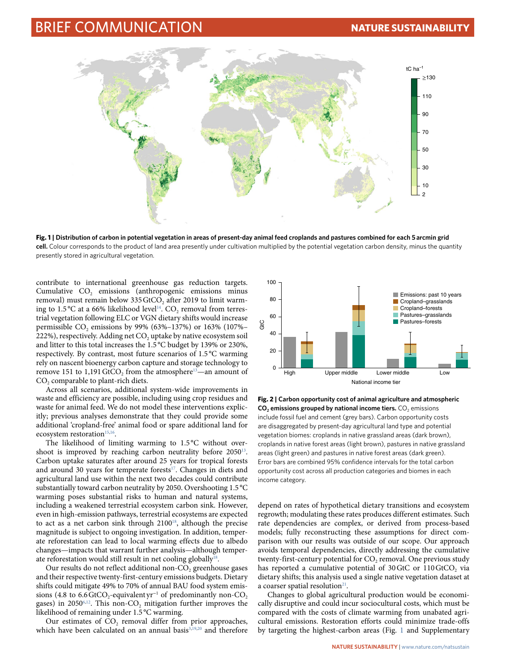## Brief Communication **Nature Sustainability**



<span id="page-1-0"></span>**Fig. 1 | Distribution of carbon in potential vegetation in areas of present-day animal feed croplands and pastures combined for each 5 arcmin grid cell.** Colour corresponds to the product of land area presently under cultivation multiplied by the potential vegetation carbon density, minus the quantity presently stored in agricultural vegetation.

contribute to international greenhouse gas reduction targets. Cumulative CO<sub>2</sub> emissions (anthropogenic emissions minus removal) must remain below 335 GtCO<sub>2</sub> after 2019 to limit warming to 1.5 °C at a 66% likelihood level<sup>14</sup>. CO<sub>2</sub> removal from terrestrial vegetation following ELC or VGN dietary shifts would increase permissible  $CO_2$  emissions by 99% (63%–137%) or 163% (107%–  $222\%$ ), respectively. Adding net CO<sub>2</sub> uptake by native ecosystem soil and litter to this total increases the 1.5 °C budget by 139% or 230%, respectively. By contrast, most future scenarios of 1.5 °C warming rely on nascent bioenergy carbon capture and storage technology to remove 151 to 1,191 GtCO<sub>2</sub> from the atmosphere<sup>13</sup>—an amount of CO<sub>2</sub> comparable to plant-rich diets.

Across all scenarios, additional system-wide improvements in waste and efficiency are possible, including using crop residues and waste for animal feed. We do not model these interventions explicitly; previous analyses demonstrate that they could provide some additional 'cropland-free' animal food or spare additional land for ecosystem restoration<sup>15,16</sup>.

The likelihood of limiting warming to 1.5 °C without overshoot is improved by reaching carbon neutrality before 2050<sup>13</sup>. Carbon uptake saturates after around 25 years for tropical forests and around 30 years for temperate forests<sup>17</sup>. Changes in diets and agricultural land use within the next two decades could contribute substantially toward carbon neutrality by 2050. Overshooting 1.5 °C warming poses substantial risks to human and natural systems, including a weakened terrestrial ecosystem carbon sink. However, even in high-emission pathways, terrestrial ecosystems are expected to act as a net carbon sink through 2100<sup>18</sup>, although the precise magnitude is subject to ongoing investigation. In addition, temperate reforestation can lead to local warming effects due to albedo changes—impacts that warrant further analysis—although temper-ate reforestation would still result in net cooling globally<sup>[18](#page-3-4)</sup>.

Our results do not reflect additional non- $CO<sub>2</sub>$  greenhouse gases and their respective twenty-first-century emissions budgets. Dietary shifts could mitigate 49% to 70% of annual BAU food system emissions (4.8 to 6.6 GtCO<sub>2</sub>-equivalent yr<sup>-1</sup> of predominantly non-CO<sub>2</sub> gases) in 2050 $6,12$  $6,12$ . This non-CO<sub>2</sub> mitigation further improves the likelihood of remaining under 1.5 °C warming.

Our estimates of  $CO<sub>2</sub>$  removal differ from prior approaches, which have been calculated on an annual basis<sup>3,[19](#page-3-5),20</sup> and therefore



<span id="page-1-1"></span>**Fig. 2 | Carbon opportunity cost of animal agriculture and atmospheric CO<sub>2</sub> emissions grouped by national income tiers.** CO<sub>2</sub> emissions include fossil fuel and cement (grey bars). Carbon opportunity costs are disaggregated by present-day agricultural land type and potential vegetation biomes: croplands in native grassland areas (dark brown), croplands in native forest areas (light brown), pastures in native grassland areas (light green) and pastures in native forest areas (dark green). Error bars are combined 95% confidence intervals for the total carbon opportunity cost across all production categories and biomes in each income category.

depend on rates of hypothetical dietary transitions and ecosystem regrowth; modulating these rates produces different estimates. Such rate dependencies are complex, or derived from process-based models; fully reconstructing these assumptions for direct comparison with our results was outside of our scope. Our approach avoids temporal dependencies, directly addressing the cumulative twenty-first-century potential for  $CO<sub>2</sub>$  removal. One previous study has reported a cumulative potential of 30 GtC or  $110 \text{ GtCO}_2$  via dietary shifts; this analysis used a single native vegetation dataset at a coarser spatial resolution $2<sup>1</sup>$ .

Changes to global agricultural production would be economically disruptive and could incur sociocultural costs, which must be compared with the costs of climate warming from unabated agricultural emissions. Restoration efforts could minimize trade-offs by targeting the highest-carbon areas (Fig. [1](#page-1-0) and Supplementary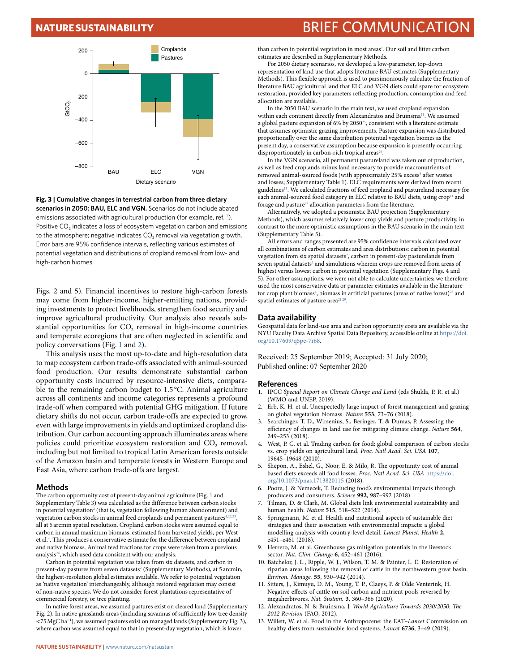## **NATURE SUSTAINABILITY** BRIEF COMMUNICATION



<span id="page-2-13"></span>**Fig. 3 | Cumulative changes in terrestrial carbon from three dietary scenarios in 2050: BAU, ELC and VGN.** Scenarios do not include abated emissions associated with agricultural production (for example, ref. [7](#page-2-6)). Positive  $CO<sub>2</sub>$  indicates a loss of ecosystem vegetation carbon and emissions to the atmosphere; negative indicates  $CO<sub>2</sub>$  removal via vegetation growth. Error bars are 95% confidence intervals, reflecting various estimates of potential vegetation and distributions of cropland removal from low- and high-carbon biomes.

Figs. 2 and 5). Financial incentives to restore high-carbon forests may come from higher-income, higher-emitting nations, providing investments to protect livelihoods, strengthen food security and improve agricultural productivity. Our analysis also reveals substantial opportunities for CO<sub>2</sub> removal in high-income countries and temperate ecoregions that are often neglected in scientific and policy conversations (Fig. [1](#page-1-0) and [2\)](#page-1-1).

This analysis uses the most up-to-date and high-resolution data to map ecosystem carbon trade-offs associated with animal-sourced food production. Our results demonstrate substantial carbon opportunity costs incurred by resource-intensive diets, comparable to the remaining carbon budget to 1.5 °C. Animal agriculture across all continents and income categories represents a profound trade-off when compared with potential GHG mitigation. If future dietary shifts do not occur, carbon trade-offs are expected to grow, even with large improvements in yields and optimized cropland distribution. Our carbon accounting approach illuminates areas where policies could prioritize ecosystem restoration and CO<sub>2</sub> removal, including but not limited to tropical Latin American forests outside of the Amazon basin and temperate forests in Western Europe and East Asia, where carbon trade-offs are largest.

### **Methods**

The carbon opportunity cost of present-day animal agriculture (Fig. [1](#page-1-0) and Supplementary Table 3) was calculated as the difference between carbon stocks in potential vegetation<sup>[2](#page-2-1)</sup> (that is, vegetation following human abandonment) and vegetation carbon stocks in animal feed croplands and permanent pastures<sup>4[,22,](#page-3-8)23</sup>, all at 5 arcmin spatial resolution. Cropland carbon stocks were assumed equal to carbon in annual maximum biomass, estimated from harvested yields, per West et al.<sup>[4](#page-2-3)</sup>. This produces a conservative estimate for the difference between cropland and native biomass. Animal feed fractions for crops were taken from a previous analysis<sup>24</sup>, which used data consistent with our analysis.

Carbon in potential vegetation was taken from six datasets, and carbon in present-day pastures from seven datasets<sup>[2](#page-2-1)</sup> (Supplementary Methods), at 5 arcmin, the highest-resolution global estimates available. We refer to potential vegetation as 'native vegetation' interchangeably, although restored vegetation may consist of non-native species. We do not consider forest plantations representative of commercial forestry, or tree planting.

In native forest areas, we assumed pastures exist on cleared land (Supplementary Fig. 2). In native grasslands areas (including savannas of sufficiently low tree density <75MgC ha<sup>−</sup><sup>1</sup> ), we assumed pastures exist on managed lands (Supplementary Fig. 3), where carbon was assumed equal to that in present-day vegetation, which is lower

than carbon in potential vegetation in most areas<sup>[2](#page-2-1)</sup>. Our soil and litter carbon estimates are described in Supplementary Methods.

For 2050 dietary scenarios, we developed a low-parameter, top-down representation of land use that adopts literature BAU estimates (Supplementary Methods). This flexible approach is used to parsimoniously calculate the fraction of literature BAU agricultural land that ELC and VGN diets could spare for ecosystem restoration, provided key parameters reflecting production, consumption and feed allocation are available.

In the 2050 BAU scenario in the main text, we used cropland expansion within each continent directly from Alexandratos and Bruinsma<sup>11</sup>. We assumed a global pasture expansion of 6% by 2050<sup>25</sup>, consistent with a literature estimate that assumes optimistic grazing improvements. Pasture expansion was distributed proportionally over the same distribution potential vegetation biomes as the present day, a conservative assumption because expansion is presently occurring disproportionately in carbon-rich tropical areas<sup>[26](#page-3-12)</sup>

In the VGN scenario, all permanent pastureland was taken out of production, as well as feed croplands minus land necessary to provide macronutrients of removed animal-sourced foods (with approximately 25% excess<sup>[8](#page-2-7)</sup> after wastes and losses; Supplementary Table 1). ELC requirements were derived from recent guidelines<sup>11</sup>. We calculated fractions of feed cropland and pastureland necessary for each animal-sourced food category in ELC relative to BAU diets, using crop<sup>11</sup> and forage and pasture<sup>[27](#page-3-13)</sup> allocation parameters from the literature.

Alternatively, we adopted a pessimistic BAU projection (Supplementary Methods), which assumes relatively lower crop yields and pasture productivity, in contrast to the more optimistic assumptions in the BAU scenario in the main text (Supplementary Table 5).

All errors and ranges presented are 95% confidence intervals calculated over all combinations of carbon estimates and area distributions: carbon in potential vegetation from six spatial datasets<sup>[2](#page-2-1)</sup>, carbon in present-day pasturelands from seven spatial datasets<sup>[2](#page-2-1)</sup> and simulations wherein crops are removed from areas of highest versus lowest carbon in potential vegetation (Supplementary Figs. 4 and 5). For other assumptions, we were not able to calculate uncertainties; we therefore used the most conservative data or parameter estimates available in the literature for crop plant biomass<sup>[4](#page-2-3)</sup>, biomass in artificial pastures (areas of native forest)<sup>28</sup> and spatial estimates of pasture area<sup>[21](#page-3-7)[,29](#page-3-15)</sup>.

#### **Data availability**

Geospatial data for land-use area and carbon opportunity costs are available via the NYU Faculty Data Archive Spatial Data Repository, accessible online at [https://doi.](https://doi.org/10.17609/q5pe-7r68) [org/10.17609/q5pe-7r68.](https://doi.org/10.17609/q5pe-7r68)

Received: 25 September 2019; Accepted: 31 July 2020; Published online: 07 September 2020

## **References**

- <span id="page-2-0"></span>1. IPCC *Special Report on Climate Change and Land* (eds Shukla, P. R. et al.) (WMO and UNEP, 2019).
- <span id="page-2-1"></span>2. Erb, K. H. et al. Unexpectedly large impact of forest management and grazing on global vegetation biomass. *Nature* **553**, 73–76 (2018).
- <span id="page-2-2"></span>3. Searchinger, T. D., Wirsenius, S., Beringer, T. & Dumas, P. Assessing the efficiency of changes in land use for mitigating climate change. *Nature* 564, 249–253 (2018).
- <span id="page-2-3"></span>4. West, P. C. et al. Trading carbon for food: global comparison of carbon stocks vs. crop yields on agricultural land. *Proc. Natl Acad. Sci. USA* **107**, 19645–19648 (2010).
- <span id="page-2-4"></span>5. Shepon, A., Eshel, G., Noor, E. & Milo, R. Te opportunity cost of animal based diets exceeds all food losses. *Proc. Natl Acad. Sci*. *USA* [https://doi.](https://doi.org/10.1073/pnas.1713820115) [org/10.1073/pnas.1713820115](https://doi.org/10.1073/pnas.1713820115) (2018).
- <span id="page-2-5"></span>6. Poore, J. & Nemecek, T. Reducing food's environmental impacts through producers and consumers. *Science* **992**, 987–992 (2018).
- <span id="page-2-6"></span>7. Tilman, D. & Clark, M. Global diets link environmental sustainability and human health. *Nature* **515**, 518–522 (2014).
- <span id="page-2-7"></span>8. Springmann, M. et al. Health and nutritional aspects of sustainable diet strategies and their association with environmental impacts: a global modelling analysis with country-level detail. *Lancet Planet. Health* **2**, e451–e461 (2018).
- <span id="page-2-8"></span>9. Herrero, M. et al. Greenhouse gas mitigation potentials in the livestock sector. *Nat. Clim. Change* **6**, 452–461 (2016).
- <span id="page-2-9"></span>10. Batchelor, J. L., Ripple, W. J., Wilson, T. M. & Painter, L. E. Restoration of riparian areas following the removal of cattle in the northwestern great basin. *Environ. Manage.* **55**, 930–942 (2014).
- <span id="page-2-10"></span>11. Sitters, J., Kimuyu, D. M., Young, T. P., Claeys, P. & Olde Venterink, H. Negative efects of cattle on soil carbon and nutrient pools reversed by megaherbivores. *Nat. Sustain.* **3**, 360–366 (2020).
- <span id="page-2-11"></span>12. Alexandratos, N. & Bruinsma, J. *World Agriculture Towards 2030/2050: Te 2012 Revision* (FAO, 2012).
- <span id="page-2-12"></span>13. Willett, W. et al. Food in the Anthropocene: the EAT–*Lancet* Commission on healthy diets from sustainable food systems. *Lancet* **6736**, 3–49 (2019).